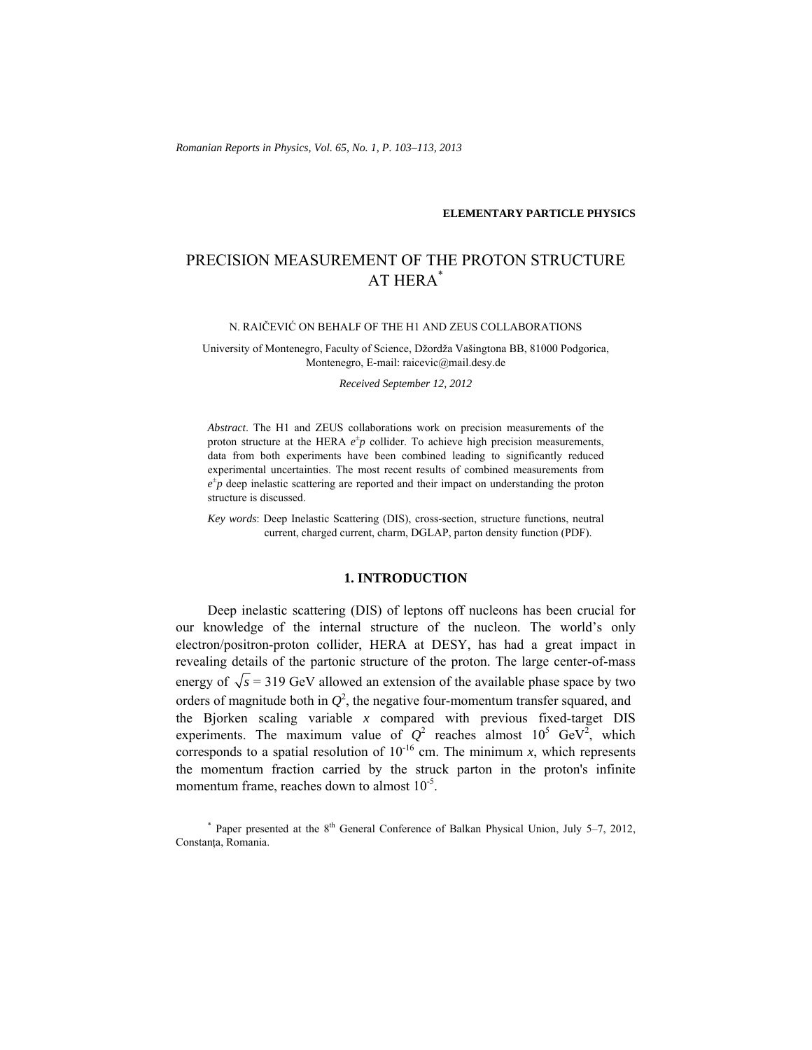*Romanian Reports in Physics, Vol. 65, No. 1, P. 103–113, 2013*

### **ELEMENTARY PARTICLE PHYSICS**

# PRECISION MEASUREMENT OF THE PROTON STRUCTURE AT HERA\*

### N. RAIČEVIĆ ON BEHALF OF THE H1 AND ZEUS COLLABORATIONS

University of Montenegro, Faculty of Science, Džordža Vašingtona BB, 81000 Podgorica, Montenegro, E-mail: raicevic@mail.desy.de

*Received September 12, 2012* 

*Abstract*. The H1 and ZEUS collaborations work on precision measurements of the proton structure at the HERA  $e^{\pm}p$  collider. To achieve high precision measurements, data from both experiments have been combined leading to significantly reduced experimental uncertainties. The most recent results of combined measurements from  $e^{\pm}p$  deep inelastic scattering are reported and their impact on understanding the proton structure is discussed.

*Key words*: Deep Inelastic Scattering (DIS), cross-section, structure functions, neutral current, charged current, charm, DGLAP, parton density function (PDF).

### **1. INTRODUCTION**

Deep inelastic scattering (DIS) of leptons off nucleons has been crucial for our knowledge of the internal structure of the nucleon. The world's only electron/positron-proton collider, HERA at DESY, has had a great impact in revealing details of the partonic structure of the proton. The large center-of-mass energy of  $\sqrt{s}$  = 319 GeV allowed an extension of the available phase space by two orders of magnitude both in  $Q^2$ , the negative four-momentum transfer squared, and the Bjorken scaling variable *x* compared with previous fixed-target DIS experiments. The maximum value of  $Q^2$  reaches almost  $10^5$  GeV<sup>2</sup>, which corresponds to a spatial resolution of  $10^{-16}$  cm. The minimum *x*, which represents the momentum fraction carried by the struck parton in the proton's infinite momentum frame, reaches down to almost  $10^{-5}$ .

<sup>\*</sup> Paper presented at the  $8<sup>th</sup>$  General Conference of Balkan Physical Union, July 5–7, 2012, Constanţa, Romania.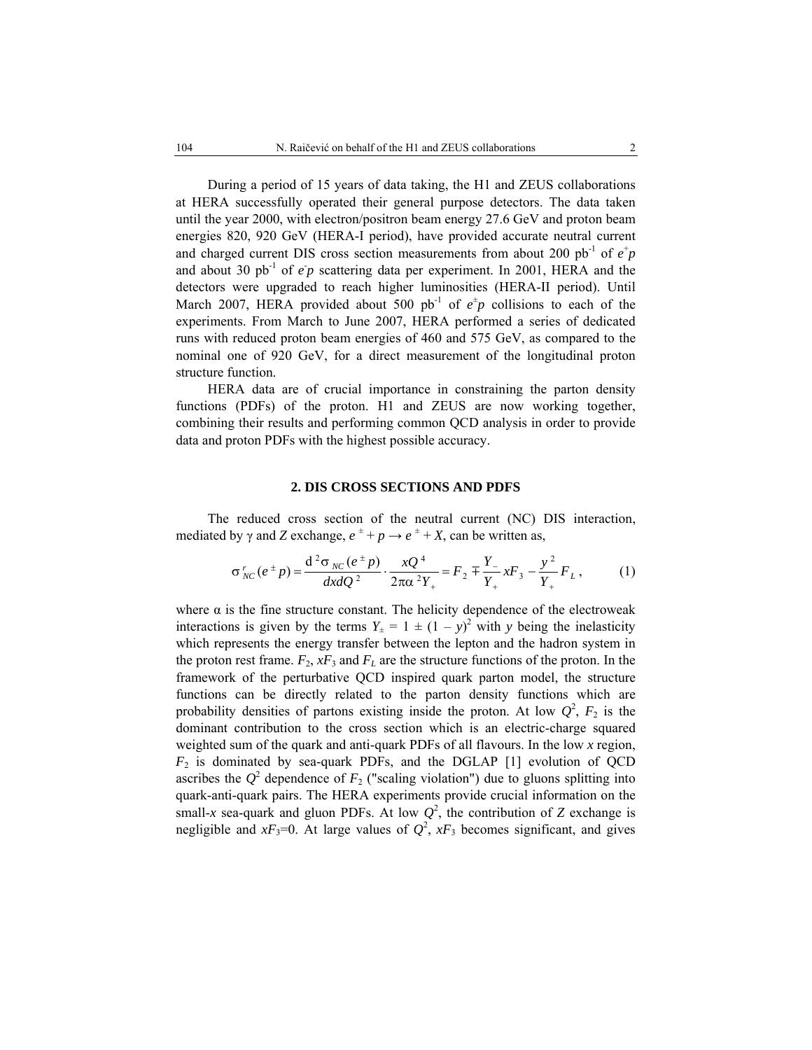During a period of 15 years of data taking, the H1 and ZEUS collaborations at HERA successfully operated their general purpose detectors. The data taken until the year 2000, with electron/positron beam energy 27.6 GeV and proton beam energies 820, 920 GeV (HERA-I period), have provided accurate neutral current and charged current DIS cross section measurements from about 200 pb<sup>-1</sup> of  $e^+p$ and about 30  $pb^{-1}$  of  $e^p$  scattering data per experiment. In 2001, HERA and the detectors were upgraded to reach higher luminosities (HERA-II period). Until March 2007, HERA provided about 500 pb<sup>-1</sup> of  $e^{\pm}p$  collisions to each of the experiments. From March to June 2007, HERA performed a series of dedicated runs with reduced proton beam energies of 460 and 575 GeV, as compared to the nominal one of 920 GeV, for a direct measurement of the longitudinal proton structure function.

HERA data are of crucial importance in constraining the parton density functions (PDFs) of the proton. H1 and ZEUS are now working together, combining their results and performing common QCD analysis in order to provide data and proton PDFs with the highest possible accuracy.

### **2. DIS CROSS SECTIONS AND PDFS**

 The reduced cross section of the neutral current (NC) DIS interaction, mediated by  $\gamma$  and *Z* exchange,  $e^{\pm} + p \rightarrow e^{\pm} + X$ , can be written as,

$$
\sigma_{NC}^r(e^{\pm}p) = \frac{d^2 \sigma_{NC}(e^{\pm}p)}{dx dQ^2} \cdot \frac{xQ^4}{2\pi \alpha^2 Y_+} = F_2 \mp \frac{Y_-}{Y_+} xF_3 - \frac{y^2}{Y_+} F_L, \qquad (1)
$$

where  $\alpha$  is the fine structure constant. The helicity dependence of the electroweak interactions is given by the terms  $Y_{\pm} = 1 \pm (1 - y)^2$  with *y* being the inelasticity which represents the energy transfer between the lepton and the hadron system in the proton rest frame.  $F_2$ ,  $xF_3$  and  $F_L$  are the structure functions of the proton. In the framework of the perturbative QCD inspired quark parton model, the structure functions can be directly related to the parton density functions which are probability densities of partons existing inside the proton. At low  $Q^2$ ,  $F_2$  is the dominant contribution to the cross section which is an electric-charge squared weighted sum of the quark and anti-quark PDFs of all flavours. In the low *x* region,  $F_2$  is dominated by sea-quark PDFs, and the DGLAP [1] evolution of QCD ascribes the  $Q^2$  dependence of  $F_2$  ("scaling violation") due to gluons splitting into quark-anti-quark pairs. The HERA experiments provide crucial information on the small-x sea-quark and gluon PDFs. At low  $Q^2$ , the contribution of *Z* exchange is negligible and  $xF_3=0$ . At large values of  $Q^2$ ,  $xF_3$  becomes significant, and gives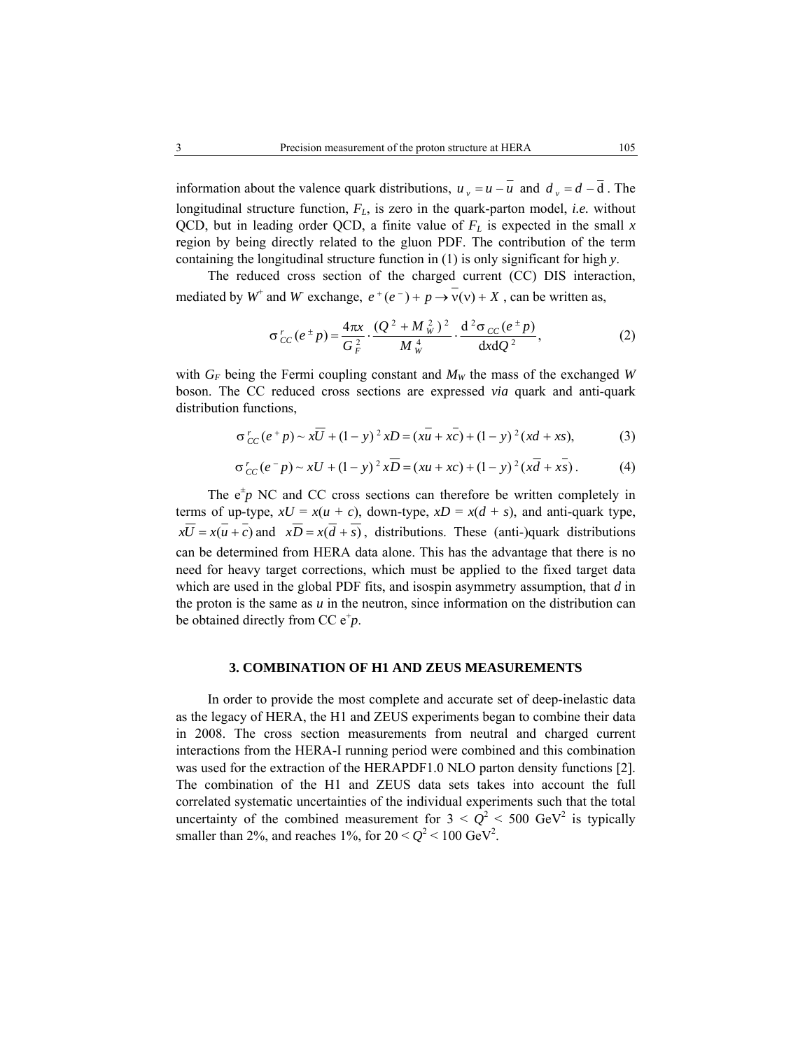information about the valence quark distributions,  $u_y = u - \overline{u}$  and  $d_y = d - \overline{d}$ . The longitudinal structure function, *FL*, is zero in the quark-parton model, *i.e.* without QCD, but in leading order QCD, a finite value of  $F<sub>L</sub>$  is expected in the small  $x$ region by being directly related to the gluon PDF. The contribution of the term containing the longitudinal structure function in (1) is only significant for high *y*.

 The reduced cross section of the charged current (CC) DIS interaction, mediated by  $W^+$  and  $W$  exchange,  $e^+(e^-) + p \rightarrow \overline{v}(v) + X$ , can be written as,

$$
\sigma_{CC}^r(e^{\pm}p) = \frac{4\pi x}{G_F^2} \cdot \frac{(Q^2 + M_W^2)^2}{M_W^4} \cdot \frac{d^2 \sigma_{CC}(e^{\pm}p)}{dxdQ^2},
$$
 (2)

with  $G_F$  being the Fermi coupling constant and  $M_W$  the mass of the exchanged *W* boson. The CC reduced cross sections are expressed *via* quark and anti-quark distribution functions,

$$
\sigma_{CC}^r(e^+p) \sim x\overline{U} + (1-y)^2 xD = (x\overline{u} + x\overline{c}) + (1-y)^2 (x\overline{d} + x\overline{s}),
$$
 (3)

$$
\sigma_{CC}^r(e^-p) \sim xU + (1-y)^2 x\overline{D} = (xu + xc) + (1-y)^2(x\overline{d} + x\overline{s}).
$$
 (4)

The  $e^{\pm}p$  NC and CC cross sections can therefore be written completely in terms of up-type,  $xU = x(u + c)$ , down-type,  $xD = x(d + s)$ , and anti-quark type,  $x\overline{U} = x(u + c)$  and  $x\overline{D} = x(\overline{d} + s)$ , distributions. These (anti-)quark distributions can be determined from HERA data alone. This has the advantage that there is no need for heavy target corrections, which must be applied to the fixed target data which are used in the global PDF fits, and isospin asymmetry assumption, that *d* in the proton is the same as  $u$  in the neutron, since information on the distribution can be obtained directly from CC  $e^+p$ .

### **3. COMBINATION OF H1 AND ZEUS MEASUREMENTS**

 In order to provide the most complete and accurate set of deep-inelastic data as the legacy of HERA, the H1 and ZEUS experiments began to combine their data in 2008. The cross section measurements from neutral and charged current interactions from the HERA-I running period were combined and this combination was used for the extraction of the HERAPDF1.0 NLO parton density functions [2]. The combination of the H1 and ZEUS data sets takes into account the full correlated systematic uncertainties of the individual experiments such that the total uncertainty of the combined measurement for  $3 < Q^2 < 500$  GeV<sup>2</sup> is typically smaller than 2%, and reaches  $1\%$ , for  $20 < Q^2 < 100 \text{ GeV}^2$ .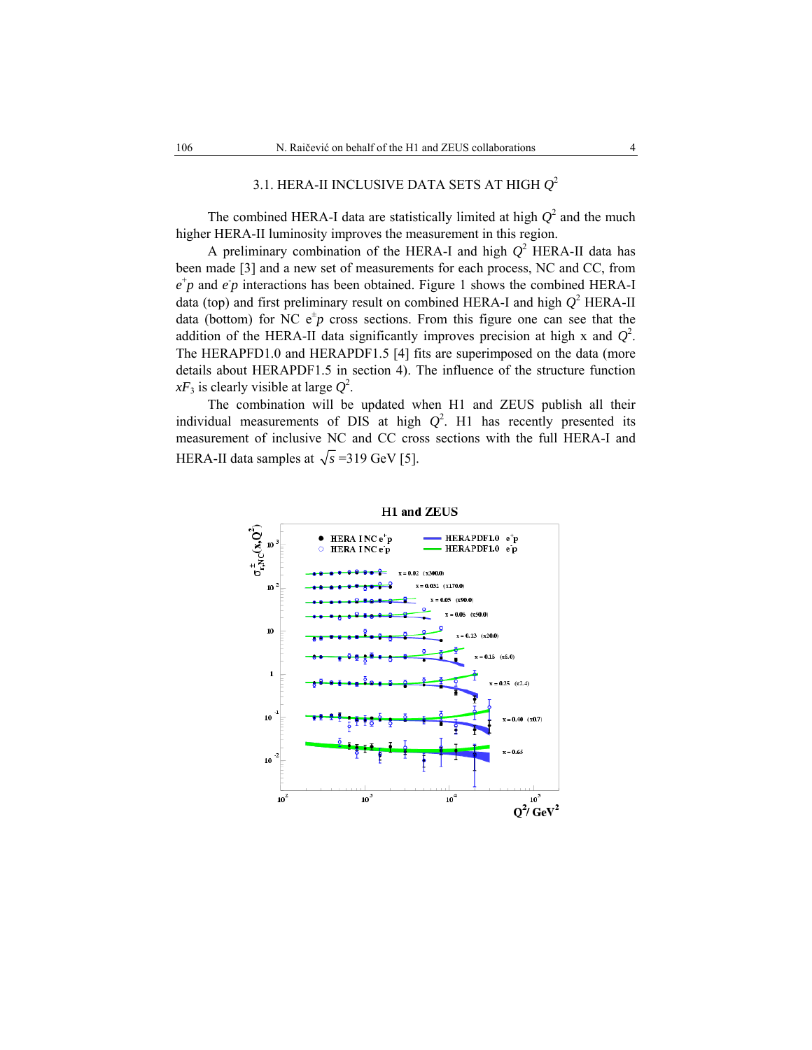# 3.1. HERA-II INCLUSIVE DATA SETS AT HIGH *Q*<sup>2</sup>

The combined HERA-I data are statistically limited at high  $Q^2$  and the much higher HERA-II luminosity improves the measurement in this region.

A preliminary combination of the HERA-I and high  $Q^2$  HERA-II data has been made [3] and a new set of measurements for each process, NC and CC, from  $e^+p$  and  $e^+p$  interactions has been obtained. Figure 1 shows the combined HERA-I data (top) and first preliminary result on combined HERA-I and high  $Q^2$  HERA-II data (bottom) for NC  $e^{\pm}p$  cross sections. From this figure one can see that the addition of the HERA-II data significantly improves precision at high x and  $Q^2$ . The HERAPFD1.0 and HERAPDF1.5 [4] fits are superimposed on the data (more details about HERAPDF1.5 in section 4). The influence of the structure function  $xF_3$  is clearly visible at large  $Q^2$ .

The combination will be updated when H1 and ZEUS publish all their individual measurements of DIS at high  $Q^2$ . H1 has recently presented its measurement of inclusive NC and CC cross sections with the full HERA-I and HERA-II data samples at  $\sqrt{s}$  =319 GeV [5].



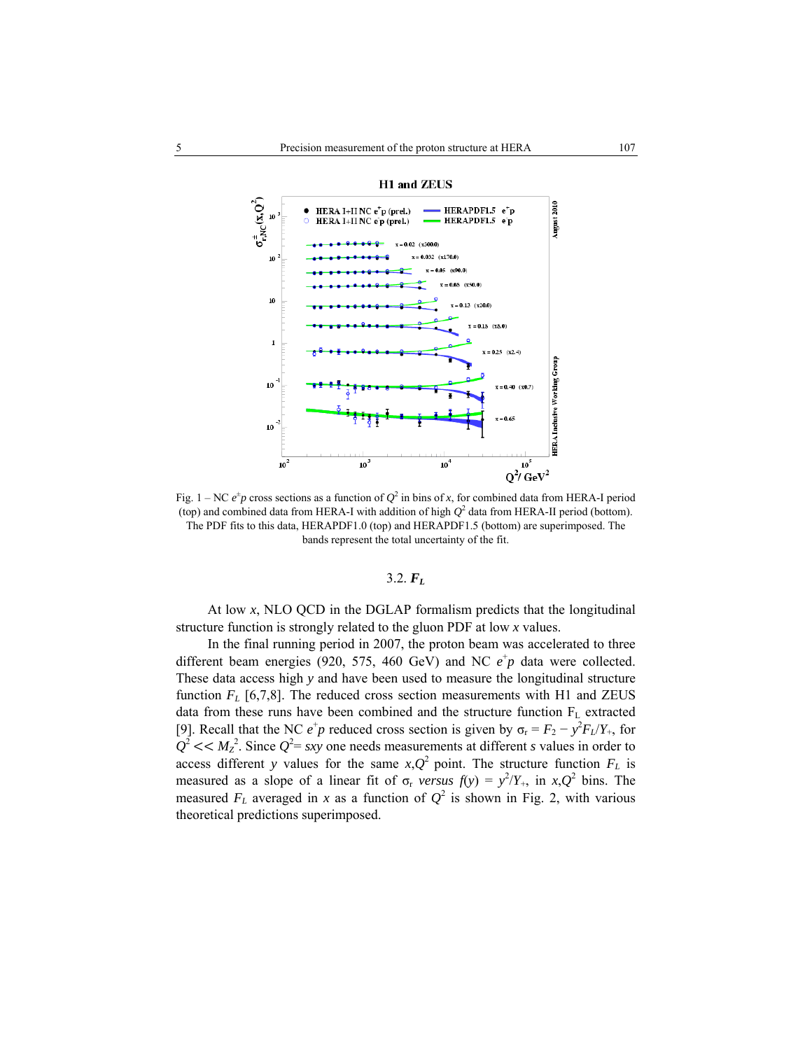



Fig. 1 – NC  $e^{\pm}p$  cross sections as a function of  $Q^2$  in bins of *x*, for combined data from HERA-I period (top) and combined data from HERA-I with addition of high  $Q^2$  data from HERA-II period (bottom). The PDF fits to this data, HERAPDF1.0 (top) and HERAPDF1.5 (bottom) are superimposed. The bands represent the total uncertainty of the fit.

## $3.2. F<sub>L</sub>$

At low *x*, NLO QCD in the DGLAP formalism predicts that the longitudinal structure function is strongly related to the gluon PDF at low *x* values.

In the final running period in 2007, the proton beam was accelerated to three different beam energies (920, 575, 460 GeV) and NC  $e^+p$  data were collected. These data access high *y* and have been used to measure the longitudinal structure function  $F<sub>L</sub>$  [6,7,8]. The reduced cross section measurements with H1 and ZEUS data from these runs have been combined and the structure function  $F<sub>L</sub>$  extracted [9]. Recall that the NC  $e^+p$  reduced cross section is given by  $\sigma_r = F_2 - y^2 F_L/Y_+$ , for  $Q^2 \ll M_Z^2$ . Since  $Q^2 = sxy$  one needs measurements at different *s* values in order to access different *y* values for the same  $x$ , $Q^2$  point. The structure function  $F<sub>L</sub>$  is measured as a slope of a linear fit of  $\sigma_r$  *versus*  $f(y) = y^2/Y_+$ , in  $x,Q^2$  bins. The measured  $F_L$  averaged in *x* as a function of  $Q^2$  is shown in Fig. 2, with various theoretical predictions superimposed.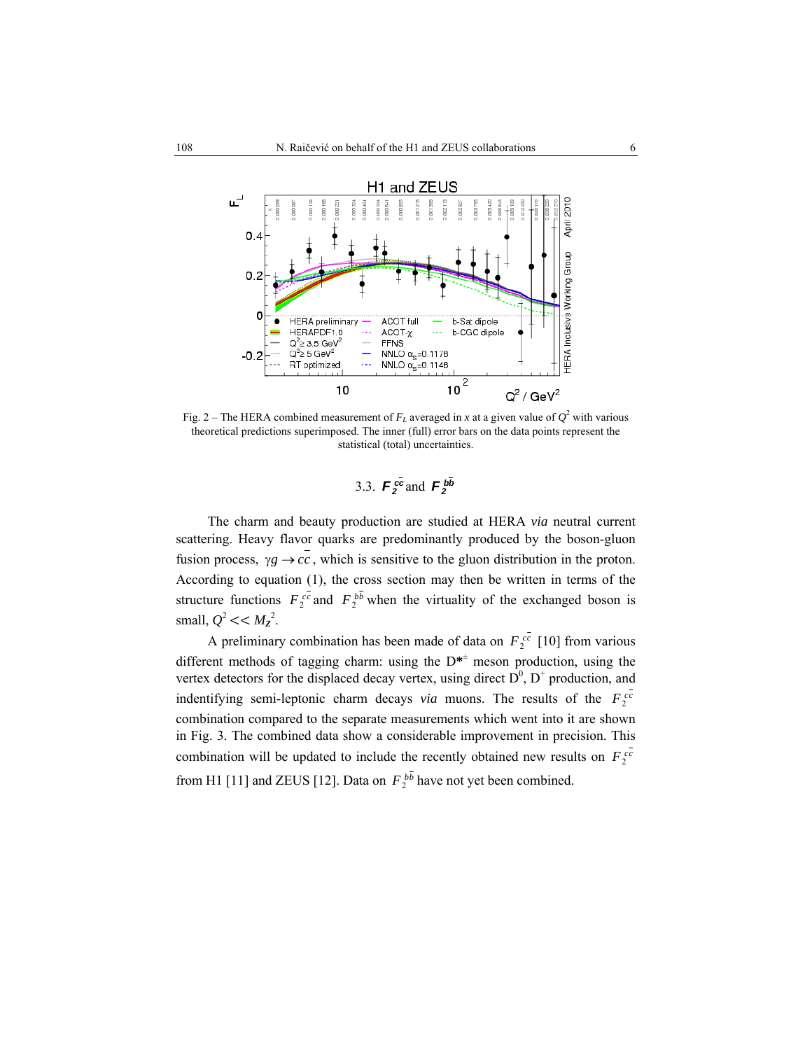

Fig. 2 – The HERA combined measurement of  $F<sub>L</sub>$  averaged in *x* at a given value of  $Q<sup>2</sup>$  with various theoretical predictions superimposed. The inner (full) error bars on the data points represent the statistical (total) uncertainties.

3.3. 
$$
F_2^{c\bar{c}}
$$
 and  $F_2^{b\bar{b}}$ 

The charm and beauty production are studied at HERA *via* neutral current scattering. Heavy flavor quarks are predominantly produced by the boson-gluon fusion process,  $\gamma g \rightarrow c\bar{c}$ , which is sensitive to the gluon distribution in the proton. According to equation (1), the cross section may then be written in terms of the structure functions  $F_2^{cc}$  and  $F_2^{bb}$  when the virtuality of the exchanged boson is small,  $Q^2 \ll M_Z^2$ .

A preliminary combination has been made of data on  $F_2^{cc}$  [10] from various different methods of tagging charm: using the D**\***<sup>±</sup> meson production, using the vertex detectors for the displaced decay vertex, using direct  $D^0$ ,  $D^+$  production, and indentifying semi-leptonic charm decays *via* muons. The results of the  $F_2^{cc}$ combination compared to the separate measurements which went into it are shown in Fig. 3. The combined data show a considerable improvement in precision. This combination will be updated to include the recently obtained new results on  $F_2^{cc}$ from H1 [11] and ZEUS [12]. Data on  $F_2^{bb}$  have not yet been combined.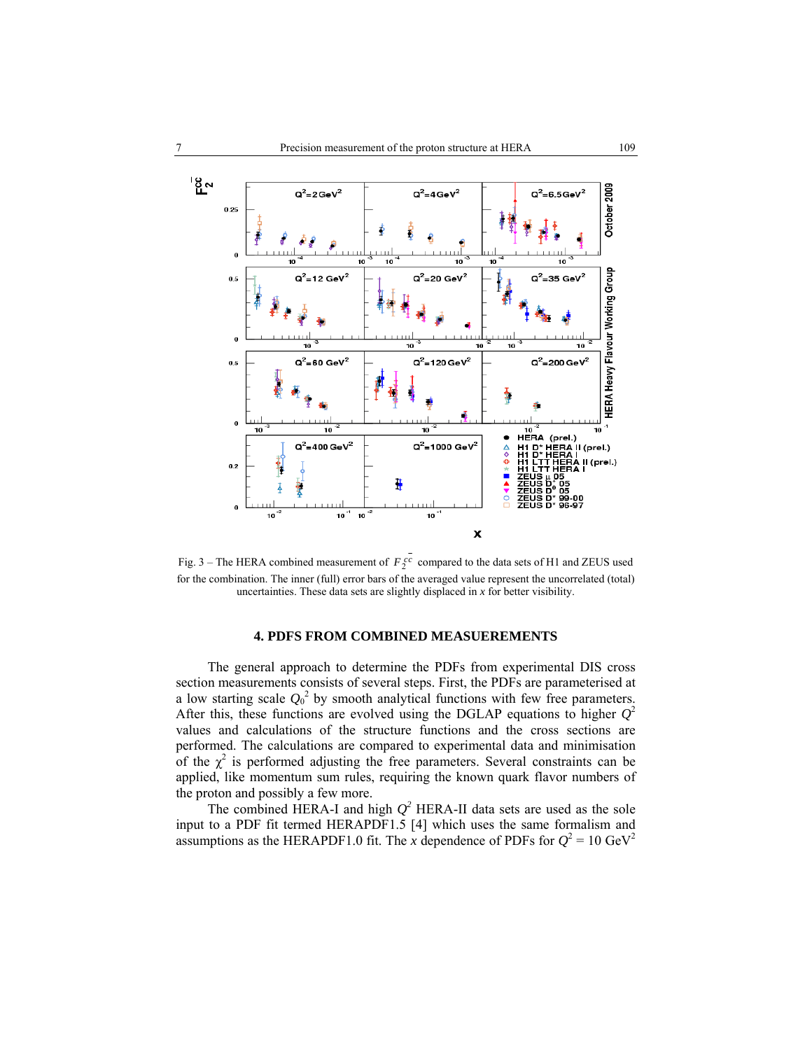

Fig.  $3$  – The HERA combined measurement of  $F_2^{cc}$  compared to the data sets of H1 and ZEUS used for the combination. The inner (full) error bars of the averaged value represent the uncorrelated (total) uncertainties. These data sets are slightly displaced in *x* for better visibility.

### **4. PDFS FROM COMBINED MEASUEREMENTS**

The general approach to determine the PDFs from experimental DIS cross section measurements consists of several steps. First, the PDFs are parameterised at a low starting scale  $Q_0^2$  by smooth analytical functions with few free parameters. After this, these functions are evolved using the DGLAP equations to higher  $Q^2$ values and calculations of the structure functions and the cross sections are performed. The calculations are compared to experimental data and minimisation of the  $\chi^2$  is performed adjusting the free parameters. Several constraints can be applied, like momentum sum rules, requiring the known quark flavor numbers of the proton and possibly a few more.

The combined HERA-I and high  $Q^2$  HERA-II data sets are used as the sole input to a PDF fit termed HERAPDF1.5 [4] which uses the same formalism and assumptions as the HERAPDF1.0 fit. The *x* dependence of PDFs for  $Q^2 = 10 \text{ GeV}^2$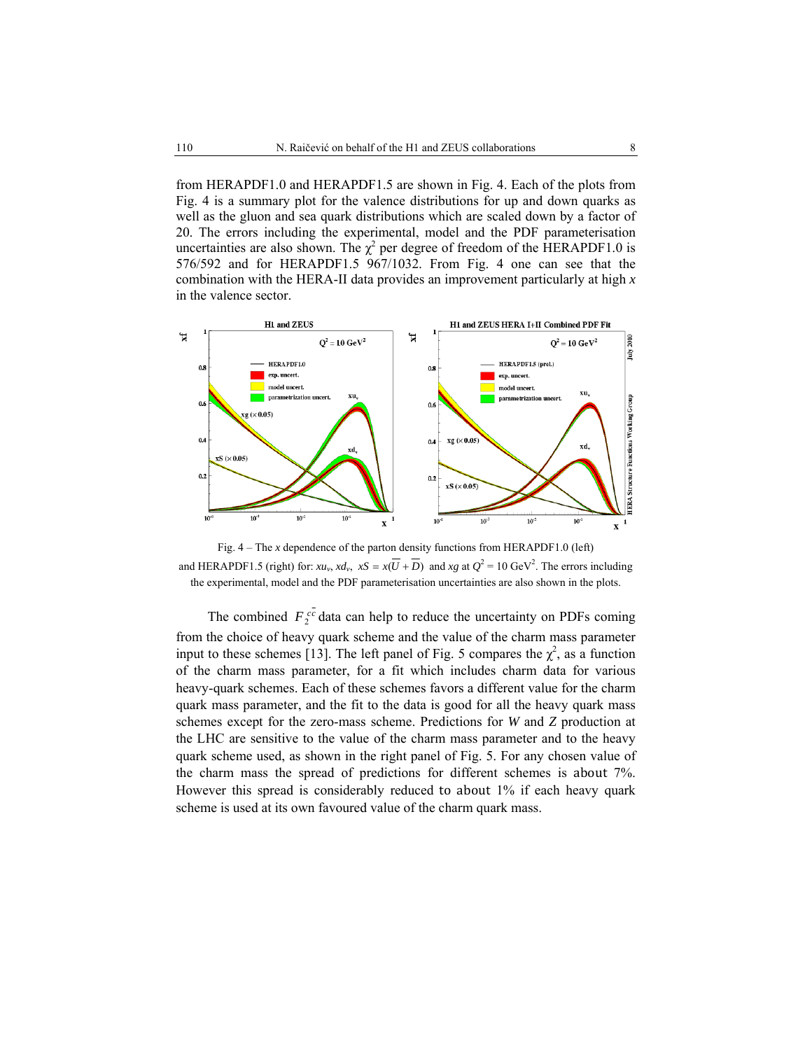from HERAPDF1.0 and HERAPDF1.5 are shown in Fig. 4. Each of the plots from Fig. 4 is a summary plot for the valence distributions for up and down quarks as well as the gluon and sea quark distributions which are scaled down by a factor of 20. The errors including the experimental, model and the PDF parameterisation uncertainties are also shown. The  $\chi^2$  per degree of freedom of the HERAPDF1.0 is 576/592 and for HERAPDF1.5 967/1032. From Fig. 4 one can see that the combination with the HERA-II data provides an improvement particularly at high *x* in the valence sector.



Fig. 4 – The *x* dependence of the parton density functions from HERAPDF1.0 (left) and HERAPDF1.5 (right) for:  $xu_v$ ,  $xd_v$ ,  $xS = x(\overline{U} + \overline{D})$  and  $xg$  at  $Q^2 = 10 \text{ GeV}^2$ . The errors including the experimental, model and the PDF parameterisation uncertainties are also shown in the plots.

The combined  $F_2^{cc}$  data can help to reduce the uncertainty on PDFs coming from the choice of heavy quark scheme and the value of the charm mass parameter input to these schemes [13]. The left panel of Fig. 5 compares the  $\chi^2$ , as a function of the charm mass parameter, for a fit which includes charm data for various heavy-quark schemes. Each of these schemes favors a different value for the charm quark mass parameter, and the fit to the data is good for all the heavy quark mass schemes except for the zero-mass scheme. Predictions for *W* and *Z* production at the LHC are sensitive to the value of the charm mass parameter and to the heavy quark scheme used, as shown in the right panel of Fig. 5. For any chosen value of the charm mass the spread of predictions for different schemes is about 7%. However this spread is considerably reduced to about 1% if each heavy quark scheme is used at its own favoured value of the charm quark mass.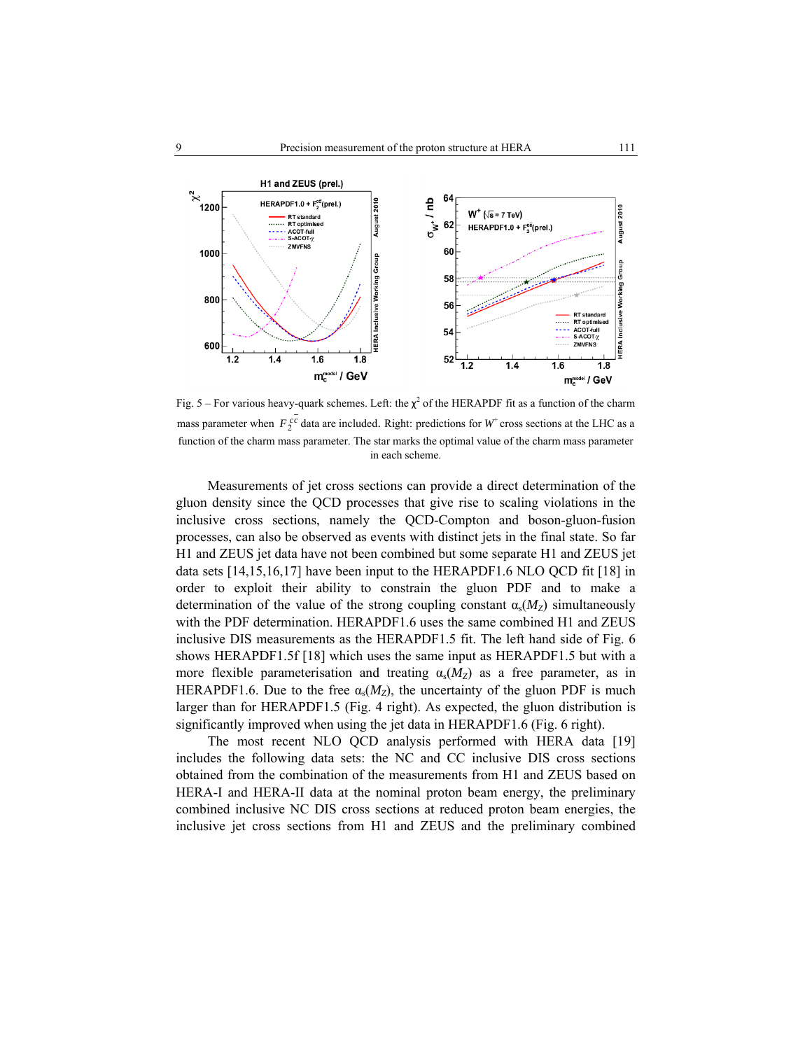

Fig. 5 – For various heavy-quark schemes. Left: the  $\chi^2$  of the HERAPDF fit as a function of the charm mass parameter when  $F_2^{cc}$  data are included. Right: predictions for  $W^+$  cross sections at the LHC as a function of the charm mass parameter. The star marks the optimal value of the charm mass parameter in each scheme.

Measurements of jet cross sections can provide a direct determination of the gluon density since the QCD processes that give rise to scaling violations in the inclusive cross sections, namely the QCD-Compton and boson-gluon-fusion processes, can also be observed as events with distinct jets in the final state. So far H1 and ZEUS jet data have not been combined but some separate H1 and ZEUS jet data sets [14,15,16,17] have been input to the HERAPDF1.6 NLO QCD fit [18] in order to exploit their ability to constrain the gluon PDF and to make a determination of the value of the strong coupling constant  $\alpha_s(M_Z)$  simultaneously with the PDF determination. HERAPDF1.6 uses the same combined H1 and ZEUS inclusive DIS measurements as the HERAPDF1.5 fit. The left hand side of Fig. 6 shows HERAPDF1.5f [18] which uses the same input as HERAPDF1.5 but with a more flexible parameterisation and treating  $\alpha_s(M_Z)$  as a free parameter, as in HERAPDF1.6. Due to the free  $\alpha_s(M_Z)$ , the uncertainty of the gluon PDF is much larger than for HERAPDF1.5 (Fig. 4 right). As expected, the gluon distribution is significantly improved when using the jet data in HERAPDF1.6 (Fig. 6 right).

The most recent NLO QCD analysis performed with HERA data [19] includes the following data sets: the NC and CC inclusive DIS cross sections obtained from the combination of the measurements from H1 and ZEUS based on HERA-I and HERA-II data at the nominal proton beam energy, the preliminary combined inclusive NC DIS cross sections at reduced proton beam energies, the inclusive jet cross sections from H1 and ZEUS and the preliminary combined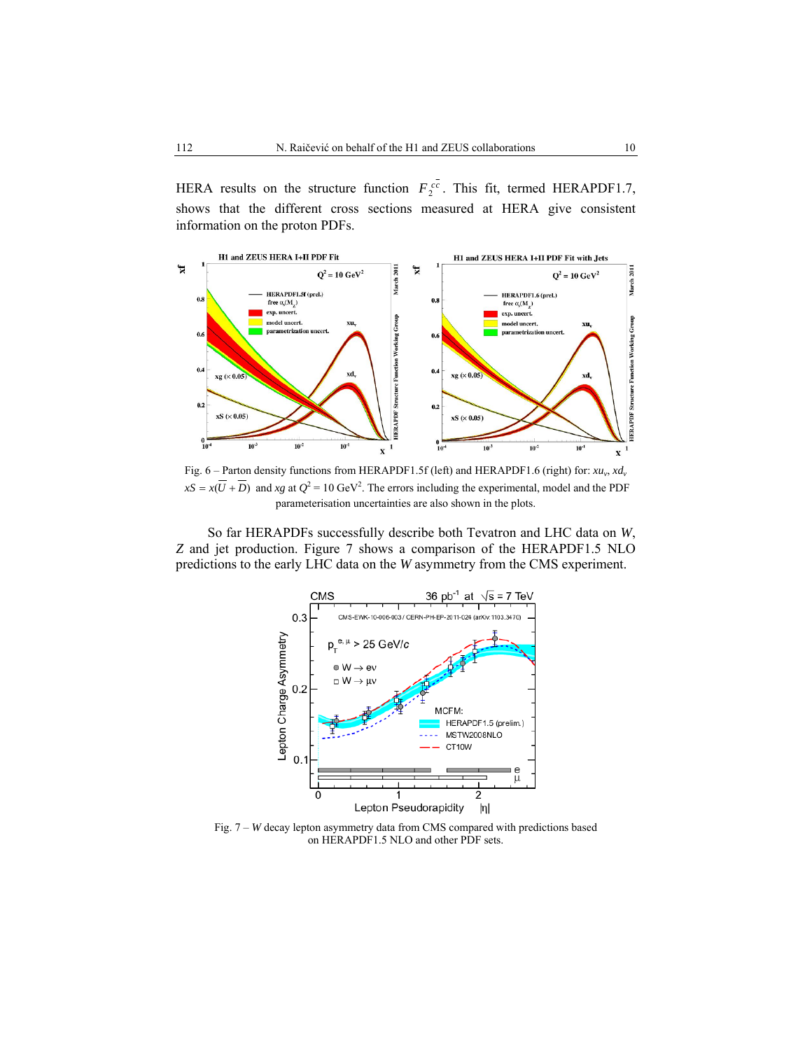HERA results on the structure function  $F_2^{cc}$ . This fit, termed HERAPDF1.7, shows that the different cross sections measured at HERA give consistent information on the proton PDFs.



Fig. 6 – Parton density functions from HERAPDF1.5f (left) and HERAPDF1.6 (right) for:  $xu_v$ ,  $xd_v$  $xS = x(\overline{U} + \overline{D})$  and *xg* at  $Q^2 = 10 \text{ GeV}^2$ . The errors including the experimental, model and the PDF parameterisation uncertainties are also shown in the plots.

So far HERAPDFs successfully describe both Tevatron and LHC data on *W*, *Z* and jet production. Figure 7 shows a comparison of the HERAPDF1.5 NLO predictions to the early LHC data on the *W* asymmetry from the CMS experiment.



Fig. 7 – *W* decay lepton asymmetry data from CMS compared with predictions based on HERAPDF1.5 NLO and other PDF sets.